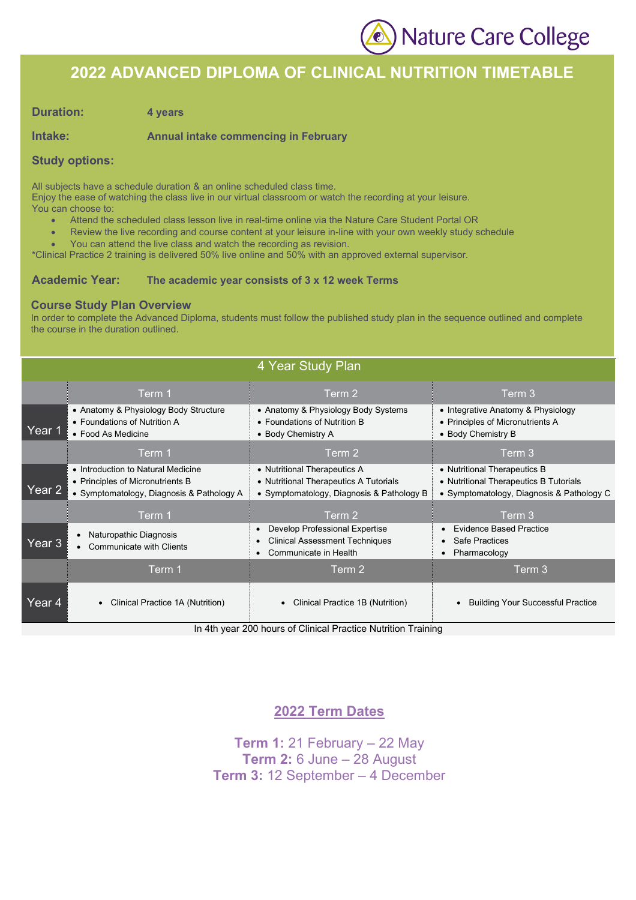

### **2022 ADVANCED DIPLOMA OF CLINICAL NUTRITION TIMETABLE**

#### **Duration: 4 years**

#### **Intake: Annual intake commencing in February**

#### **Study options:**

All subjects have a schedule duration & an online scheduled class time.

Enjoy the ease of watching the class live in our virtual classroom or watch the recording at your leisure. You can choose to:

- Attend the scheduled class lesson live in real-time online via the Nature Care Student Portal OR
- Review the live recording and course content at your leisure in-line with your own weekly study schedule
- You can attend the live class and watch the recording as revision.

\*Clinical Practice 2 training is delivered 50% live online and 50% with an approved external supervisor.

#### **Academic Year: The academic year consists of 3 x 12 week Terms**

#### **Course Study Plan Overview**

In order to complete the Advanced Diploma, students must follow the published study plan in the sequence outlined and complete the course in the duration outlined.

|        |                                                                                                                     | 4 Year Study Plan                                                                                                                                                                                                                                                                                                      |                                                                                                                     |
|--------|---------------------------------------------------------------------------------------------------------------------|------------------------------------------------------------------------------------------------------------------------------------------------------------------------------------------------------------------------------------------------------------------------------------------------------------------------|---------------------------------------------------------------------------------------------------------------------|
|        | Term 1                                                                                                              | Term 2                                                                                                                                                                                                                                                                                                                 | Term 3                                                                                                              |
| Year 1 | • Anatomy & Physiology Body Structure<br>• Foundations of Nutrition A<br>• Food As Medicine                         | • Anatomy & Physiology Body Systems<br>• Foundations of Nutrition B<br>• Body Chemistry A                                                                                                                                                                                                                              | • Integrative Anatomy & Physiology<br>• Principles of Micronutrients A<br>• Body Chemistry B                        |
|        | Term 1                                                                                                              | Term 2                                                                                                                                                                                                                                                                                                                 | Term 3                                                                                                              |
| Year 2 | • Introduction to Natural Medicine<br>• Principles of Micronutrients B<br>• Symptomatology, Diagnosis & Pathology A | • Nutritional Therapeutics A<br>• Nutritional Therapeutics A Tutorials<br>• Symptomatology, Diagnosis & Pathology B                                                                                                                                                                                                    | • Nutritional Therapeutics B<br>• Nutritional Therapeutics B Tutorials<br>• Symptomatology, Diagnosis & Pathology C |
|        | Term 1                                                                                                              | Term 2                                                                                                                                                                                                                                                                                                                 | Term 3                                                                                                              |
| Year 3 | Naturopathic Diagnosis<br><b>Communicate with Clients</b>                                                           | Develop Professional Expertise<br>$\bullet$<br><b>Clinical Assessment Techniques</b><br>Communicate in Health<br>$\bullet$                                                                                                                                                                                             | <b>Evidence Based Practice</b><br>Safe Practices<br>Pharmacology                                                    |
|        | Term 1                                                                                                              | Term 2                                                                                                                                                                                                                                                                                                                 | Term 3                                                                                                              |
| Year 4 | Clinical Practice 1A (Nutrition)<br>٠                                                                               | Clinical Practice 1B (Nutrition)<br>$\sim$ $\sim$ $\sim$ $\sim$ $\sim$<br>$\mathbf{r}$ . The contract of the contract of the contract of the contract of the contract of the contract of the contract of the contract of the contract of the contract of the contract of the contract of the contract of th<br>$- - -$ | <b>Building Your Successful Practice</b>                                                                            |

In 4th year 200 hours of Clinical Practice Nutrition Training

#### **2022 Term Dates**

**Term 1:** 21 February – 22 May **Term 2:** 6 June – 28 August **Term 3:** 12 September – 4 December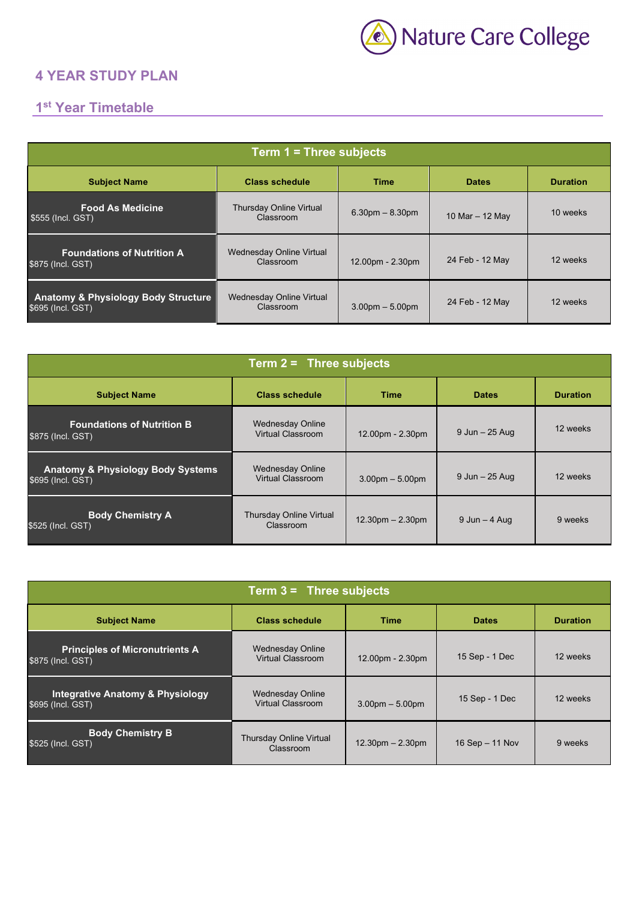

### **4 YEAR STUDY PLAN**

## **1st Year Timetable**

| Term 1 = Three subjects                                             |                                              |                   |                   |                 |  |
|---------------------------------------------------------------------|----------------------------------------------|-------------------|-------------------|-----------------|--|
| <b>Subject Name</b>                                                 | <b>Class schedule</b>                        | Time              | <b>Dates</b>      | <b>Duration</b> |  |
| <b>Food As Medicine</b><br>\$555 (Incl. GST)                        | <b>Thursday Online Virtual</b><br>Classroom  | $6.30pm - 8.30pm$ | 10 Mar $-$ 12 May | 10 weeks        |  |
| <b>Foundations of Nutrition A</b><br>\$875 (Incl. GST)              | <b>Wednesday Online Virtual</b><br>Classroom | 12.00pm - 2.30pm  | 24 Feb - 12 May   | 12 weeks        |  |
| <b>Anatomy &amp; Physiology Body Structure</b><br>\$695 (Incl. GST) | Wednesday Online Virtual<br>Classroom        | $3.00pm - 5.00pm$ | 24 Feb - 12 May   | 12 weeks        |  |

| Term $2 =$ Three subjects                                         |                                              |                                    |                  |                 |  |  |
|-------------------------------------------------------------------|----------------------------------------------|------------------------------------|------------------|-----------------|--|--|
| <b>Subject Name</b>                                               | <b>Class schedule</b>                        | <b>Time</b>                        | <b>Dates</b>     | <b>Duration</b> |  |  |
| <b>Foundations of Nutrition B</b><br>\$875 (Incl. GST)            | <b>Wednesday Online</b><br>Virtual Classroom | 12.00pm - 2.30pm                   | 9 Jun - 25 Aug   | 12 weeks        |  |  |
| <b>Anatomy &amp; Physiology Body Systems</b><br>\$695 (Incl. GST) | <b>Wednesday Online</b><br>Virtual Classroom | $3.00pm - 5.00pm$                  | 9 Jun - 25 Aug   | 12 weeks        |  |  |
| <b>Body Chemistry A</b><br>\$525 (Incl. GST)                      | <b>Thursday Online Virtual</b><br>Classroom  | $12.30 \text{pm} - 2.30 \text{pm}$ | $9$ Jun $-4$ Aug | 9 weeks         |  |  |

| Term $3 =$ Three subjects                                        |                                                     |                                    |                   |                 |  |
|------------------------------------------------------------------|-----------------------------------------------------|------------------------------------|-------------------|-----------------|--|
| <b>Subject Name</b>                                              | <b>Class schedule</b>                               | <b>Time</b>                        | <b>Dates</b>      | <b>Duration</b> |  |
| <b>Principles of Micronutrients A</b><br>\$875 (Incl. GST)       | <b>Wednesday Online</b><br><b>Virtual Classroom</b> | 12.00pm - 2.30pm                   | 15 Sep - 1 Dec    | 12 weeks        |  |
| <b>Integrative Anatomy &amp; Physiology</b><br>\$695 (Incl. GST) | <b>Wednesday Online</b><br>Virtual Classroom        | $3.00pm - 5.00pm$                  | 15 Sep - 1 Dec    | 12 weeks        |  |
| <b>Body Chemistry B</b><br>\$525 (Incl. GST)                     | <b>Thursday Online Virtual</b><br>Classroom         | $12.30 \text{pm} - 2.30 \text{pm}$ | 16 Sep $-$ 11 Nov | 9 weeks         |  |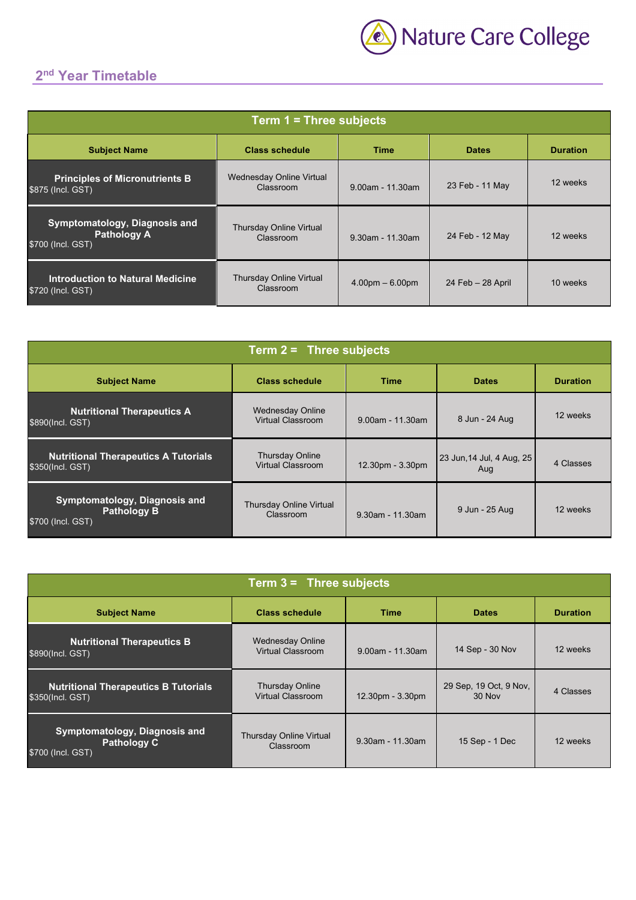## **2nd Year Timetable**

| Term 1 = Three subjects                                                  |                                             |                     |                      |                 |  |
|--------------------------------------------------------------------------|---------------------------------------------|---------------------|----------------------|-----------------|--|
| <b>Subject Name</b>                                                      | <b>Class schedule</b>                       | <b>Time</b>         | <b>Dates</b>         | <b>Duration</b> |  |
| <b>Principles of Micronutrients B</b><br>\$875 (Incl. GST)               | Wednesday Online Virtual<br>Classroom       | $9.00$ am - 11.30am | 23 Feb - 11 May      | 12 weeks        |  |
| Symptomatology, Diagnosis and<br><b>Pathology A</b><br>\$700 (Incl. GST) | <b>Thursday Online Virtual</b><br>Classroom | $9.30$ am - 11.30am | 24 Feb - 12 May      | 12 weeks        |  |
| Introduction to Natural Medicine<br>\$720 (Incl. GST)                    | <b>Thursday Online Virtual</b><br>Classroom | $4.00pm - 6.00pm$   | $24$ Feb $-28$ April | 10 weeks        |  |

| Term $2 =$ Three subjects                                                |                                                    |                     |                                  |                 |  |  |
|--------------------------------------------------------------------------|----------------------------------------------------|---------------------|----------------------------------|-----------------|--|--|
| <b>Subject Name</b>                                                      | <b>Class schedule</b>                              | <b>Time</b>         | <b>Dates</b>                     | <b>Duration</b> |  |  |
| <b>Nutritional Therapeutics A</b><br>\$890(Incl. GST)                    | <b>Wednesday Online</b><br>Virtual Classroom       | $9.00$ am - 11.30am | 8 Jun - 24 Aug                   | 12 weeks        |  |  |
| <b>Nutritional Therapeutics A Tutorials</b><br>\$350(Incl. GST)          | <b>Thursday Online</b><br><b>Virtual Classroom</b> | 12.30pm - 3.30pm    | 23 Jun, 14 Jul, 4 Aug, 25<br>Aug | 4 Classes       |  |  |
| Symptomatology, Diagnosis and<br><b>Pathology B</b><br>\$700 (Incl. GST) | <b>Thursday Online Virtual</b><br>Classroom        | $9.30$ am - 11.30am | 9 Jun - 25 Aug                   | 12 weeks        |  |  |

| Term $3 =$ Three subjects                                                |                                                     |                     |                                  |                 |  |
|--------------------------------------------------------------------------|-----------------------------------------------------|---------------------|----------------------------------|-----------------|--|
| <b>Subject Name</b>                                                      | <b>Class schedule</b>                               | <b>Time</b>         | <b>Dates</b>                     | <b>Duration</b> |  |
| <b>Nutritional Therapeutics B</b><br>\$890(Incl. GST)                    | <b>Wednesday Online</b><br><b>Virtual Classroom</b> | $9.00$ am - 11.30am | 14 Sep - 30 Nov                  | 12 weeks        |  |
| <b>Nutritional Therapeutics B Tutorials</b><br>\$350(Incl. GST)          | <b>Thursday Online</b><br>Virtual Classroom         | 12.30pm - 3.30pm    | 29 Sep, 19 Oct, 9 Nov,<br>30 Nov | 4 Classes       |  |
| Symptomatology, Diagnosis and<br><b>Pathology C</b><br>\$700 (Incl. GST) | <b>Thursday Online Virtual</b><br>Classroom         | $9.30$ am - 11.30am | 15 Sep - 1 Dec                   | 12 weeks        |  |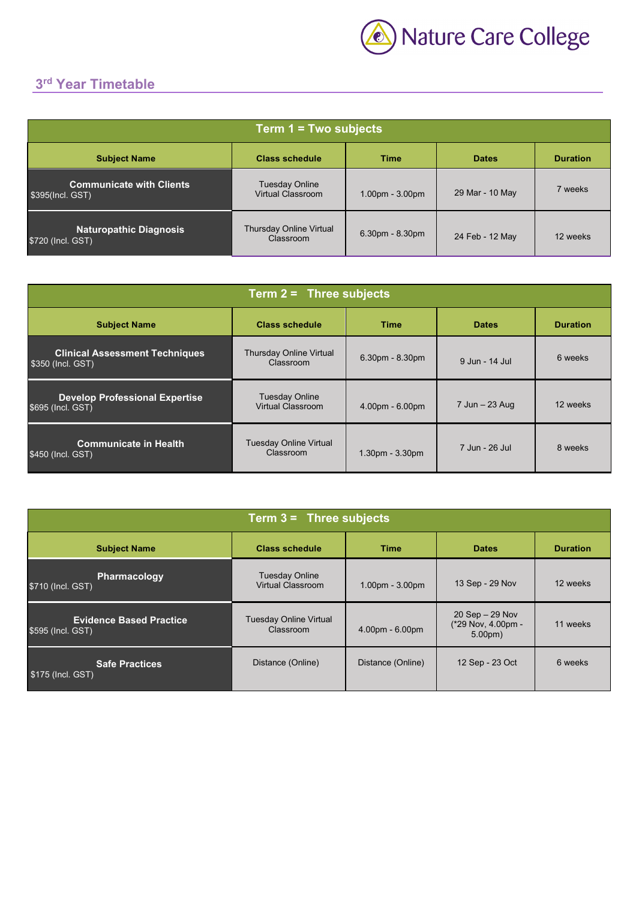

# **3rd Year Timetable**

| Term $1 = Two$ subjects                             |                                                   |                   |                 |                 |  |
|-----------------------------------------------------|---------------------------------------------------|-------------------|-----------------|-----------------|--|
| <b>Subject Name</b>                                 | <b>Class schedule</b>                             | <b>Time</b>       | <b>Dates</b>    | <b>Duration</b> |  |
| <b>Communicate with Clients</b><br>\$395(Incl. GST) | <b>Tuesday Online</b><br><b>Virtual Classroom</b> | $1.00pm - 3.00pm$ | 29 Mar - 10 May | 7 weeks         |  |
| <b>Naturopathic Diagnosis</b><br>\$720 (Incl. GST)  | <b>Thursday Online Virtual</b><br>Classroom       | 6.30pm - 8.30pm   | 24 Feb - 12 May | 12 weeks        |  |

| Term $2 =$ Three subjects                                   |                                             |                   |                |                 |  |
|-------------------------------------------------------------|---------------------------------------------|-------------------|----------------|-----------------|--|
| <b>Subject Name</b>                                         | <b>Class schedule</b>                       | <b>Time</b>       | <b>Dates</b>   | <b>Duration</b> |  |
| <b>Clinical Assessment Techniques</b><br>\$350 (Incl. GST)  | <b>Thursday Online Virtual</b><br>Classroom | 6.30pm - 8.30pm   | 9 Jun - 14 Jul | 6 weeks         |  |
| <b>Develop Professional Expertise</b><br>\$695 (Incl. GST). | <b>Tuesday Online</b><br>Virtual Classroom  | 4.00pm - 6.00pm   | 7 Jun - 23 Aug | 12 weeks        |  |
| <b>Communicate in Health</b><br>\$450 (Incl. GST)           | <b>Tuesday Online Virtual</b><br>Classroom  | $1.30pm - 3.30pm$ | 7 Jun - 26 Jul | 8 weeks         |  |

| Term $3 =$ Three subjects                           |                                            |                   |                                                                 |                 |  |  |
|-----------------------------------------------------|--------------------------------------------|-------------------|-----------------------------------------------------------------|-----------------|--|--|
| <b>Subject Name</b>                                 | <b>Class schedule</b>                      | <b>Time</b>       | <b>Dates</b>                                                    | <b>Duration</b> |  |  |
| Pharmacology<br>\$710 (Incl. GST)                   | <b>Tuesday Online</b><br>Virtual Classroom | $1.00pm - 3.00pm$ | 13 Sep - 29 Nov                                                 | 12 weeks        |  |  |
| <b>Evidence Based Practice</b><br>\$595 (Incl. GST) | <b>Tuesday Online Virtual</b><br>Classroom | 4.00pm - 6.00pm   | $20$ Sep $- 29$ Nov<br>(*29 Nov, 4.00pm -<br>5.00 <sub>pm</sub> | 11 weeks        |  |  |
| <b>Safe Practices</b><br>\$175 (Incl. GST)          | Distance (Online)                          | Distance (Online) | 12 Sep - 23 Oct                                                 | 6 weeks         |  |  |